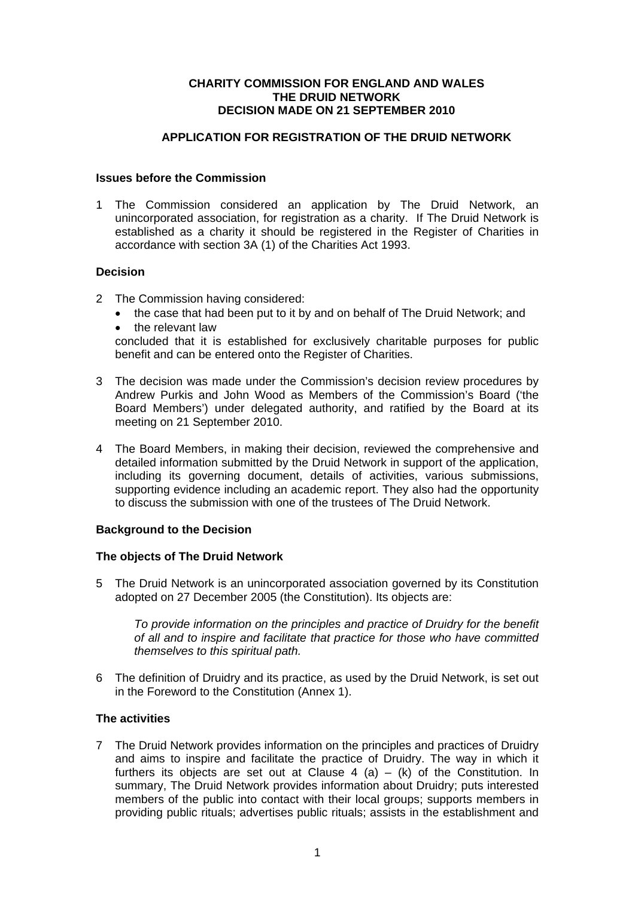#### **CHARITY COMMISSION FOR ENGLAND AND WALES THE DRUID NETWORK DECISION MADE ON 21 SEPTEMBER 2010**

## **APPLICATION FOR REGISTRATION OF THE DRUID NETWORK**

### **Issues before the Commission**

1 The Commission considered an application by The Druid Network, an unincorporated association, for registration as a charity. If The Druid Network is established as a charity it should be registered in the Register of Charities in accordance with section 3A (1) of the Charities Act 1993.

# **Decision**

- 2 The Commission having considered:
	- the case that had been put to it by and on behalf of The Druid Network: and
	- the relevant law

concluded that it is established for exclusively charitable purposes for public benefit and can be entered onto the Register of Charities.

- 3 The decision was made under the Commission's decision review procedures by Andrew Purkis and John Wood as Members of the Commission's Board ('the Board Members') under delegated authority, and ratified by the Board at its meeting on 21 September 2010.
- 4 The Board Members, in making their decision, reviewed the comprehensive and detailed information submitted by the Druid Network in support of the application, including its governing document, details of activities, various submissions, supporting evidence including an academic report. They also had the opportunity to discuss the submission with one of the trustees of The Druid Network.

#### **Background to the Decision**

#### **The objects of The Druid Network**

5 The Druid Network is an unincorporated association governed by its Constitution adopted on 27 December 2005 (the Constitution). Its objects are:

*To provide information on the principles and practice of Druidry for the benefit of all and to inspire and facilitate that practice for those who have committed themselves to this spiritual path.* 

6 The definition of Druidry and its practice, as used by the Druid Network, is set out in the Foreword to the Constitution (Annex 1).

#### **The activities**

7 The Druid Network provides information on the principles and practices of Druidry and aims to inspire and facilitate the practice of Druidry. The way in which it furthers its objects are set out at Clause 4 (a) – (k) of the Constitution. In summary, The Druid Network provides information about Druidry; puts interested members of the public into contact with their local groups; supports members in providing public rituals; advertises public rituals; assists in the establishment and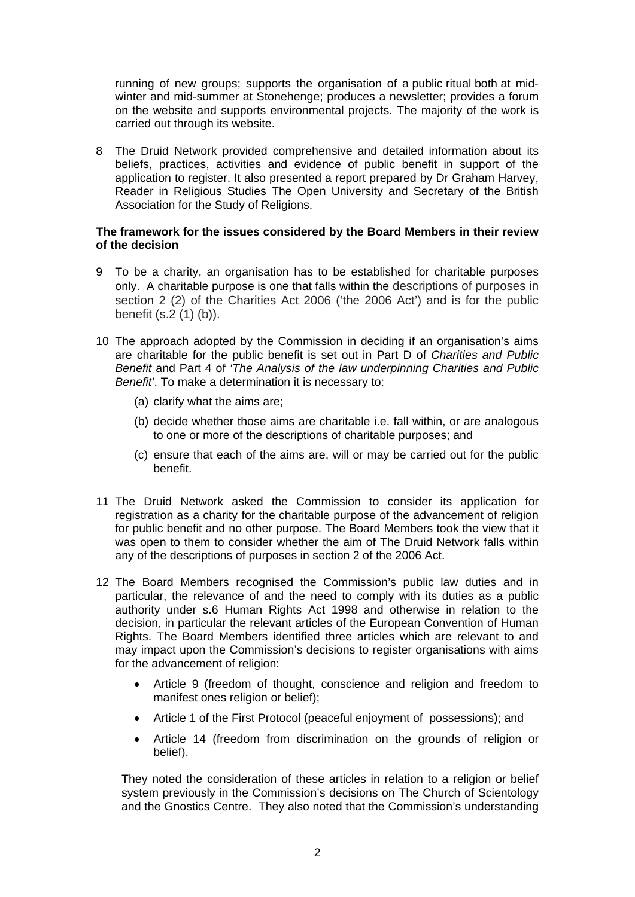running of new groups; supports the organisation of a public ritual both at midwinter and mid-summer at Stonehenge; produces a newsletter; provides a forum on the website and supports environmental projects. The majority of the work is carried out through its website.

8 The Druid Network provided comprehensive and detailed information about its beliefs, practices, activities and evidence of public benefit in support of the application to register. It also presented a report prepared by Dr Graham Harvey, Reader in Religious Studies The Open University and Secretary of the British Association for the Study of Religions.

### **The framework for the issues considered by the Board Members in their review of the decision**

- 9 To be a charity, an organisation has to be established for charitable purposes only. A charitable purpose is one that falls within the descriptions of purposes in section 2 (2) of the Charities Act 2006 ('the 2006 Act') and is for the public benefit (s.2 (1) (b)).
- 10 The approach adopted by the Commission in deciding if an organisation's aims are charitable for the public benefit is set out in Part D of *Charities and Public Benefit* and Part 4 of *'The Analysis of the law underpinning Charities and Public Benefit'*. To make a determination it is necessary to:
	- (a) clarify what the aims are;
	- (b) decide whether those aims are charitable i.e. fall within, or are analogous to one or more of the descriptions of charitable purposes; and
	- (c) ensure that each of the aims are, will or may be carried out for the public benefit.
- 11 The Druid Network asked the Commission to consider its application for registration as a charity for the charitable purpose of the advancement of religion for public benefit and no other purpose. The Board Members took the view that it was open to them to consider whether the aim of The Druid Network falls within any of the descriptions of purposes in section 2 of the 2006 Act.
- 12 The Board Members recognised the Commission's public law duties and in particular, the relevance of and the need to comply with its duties as a public authority under s.6 Human Rights Act 1998 and otherwise in relation to the decision, in particular the relevant articles of the European Convention of Human Rights. The Board Members identified three articles which are relevant to and may impact upon the Commission's decisions to register organisations with aims for the advancement of religion:
	- Article 9 (freedom of thought, conscience and religion and freedom to manifest ones religion or belief):
	- Article 1 of the First Protocol (peaceful enjoyment of possessions); and
	- Article 14 (freedom from discrimination on the grounds of religion or belief).

They noted the consideration of these articles in relation to a religion or belief system previously in the Commission's decisions on The Church of Scientology and the Gnostics Centre. They also noted that the Commission's understanding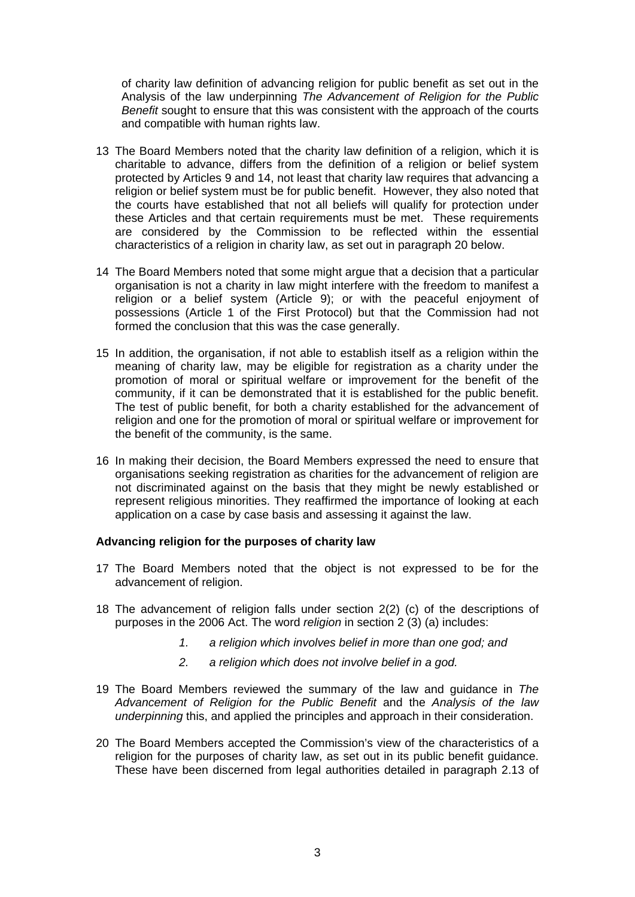of charity law definition of advancing religion for public benefit as set out in the Analysis of the law underpinning *The Advancement of Religion for the Public Benefit* sought to ensure that this was consistent with the approach of the courts and compatible with human rights law.

- 13 The Board Members noted that the charity law definition of a religion, which it is charitable to advance, differs from the definition of a religion or belief system protected by Articles 9 and 14, not least that charity law requires that advancing a religion or belief system must be for public benefit. However, they also noted that the courts have established that not all beliefs will qualify for protection under these Articles and that certain requirements must be met. These requirements are considered by the Commission to be reflected within the essential characteristics of a religion in charity law, as set out in paragraph 20 below.
- 14 The Board Members noted that some might argue that a decision that a particular organisation is not a charity in law might interfere with the freedom to manifest a religion or a belief system (Article 9); or with the peaceful enjoyment of possessions (Article 1 of the First Protocol) but that the Commission had not formed the conclusion that this was the case generally.
- 15 In addition, the organisation, if not able to establish itself as a religion within the meaning of charity law, may be eligible for registration as a charity under the promotion of moral or spiritual welfare or improvement for the benefit of the community, if it can be demonstrated that it is established for the public benefit. The test of public benefit, for both a charity established for the advancement of religion and one for the promotion of moral or spiritual welfare or improvement for the benefit of the community, is the same.
- 16 In making their decision, the Board Members expressed the need to ensure that organisations seeking registration as charities for the advancement of religion are not discriminated against on the basis that they might be newly established or represent religious minorities. They reaffirmed the importance of looking at each application on a case by case basis and assessing it against the law.

# **Advancing religion for the purposes of charity law**

- 17 The Board Members noted that the object is not expressed to be for the advancement of religion.
- 18 The advancement of religion falls under section 2(2) (c) of the descriptions of purposes in the 2006 Act. The word *religion* in section 2 (3) (a) includes:
	- *1. a religion which involves belief in more than one god; and*
	- *2. a religion which does not involve belief in a god.*
- 19 The Board Members reviewed the summary of the law and guidance in *The Advancement of Religion for the Public Benefit* and the *Analysis of the law underpinning* this, and applied the principles and approach in their consideration.
- 20 The Board Members accepted the Commission's view of the characteristics of a religion for the purposes of charity law, as set out in its public benefit guidance. These have been discerned from legal authorities detailed in paragraph 2.13 of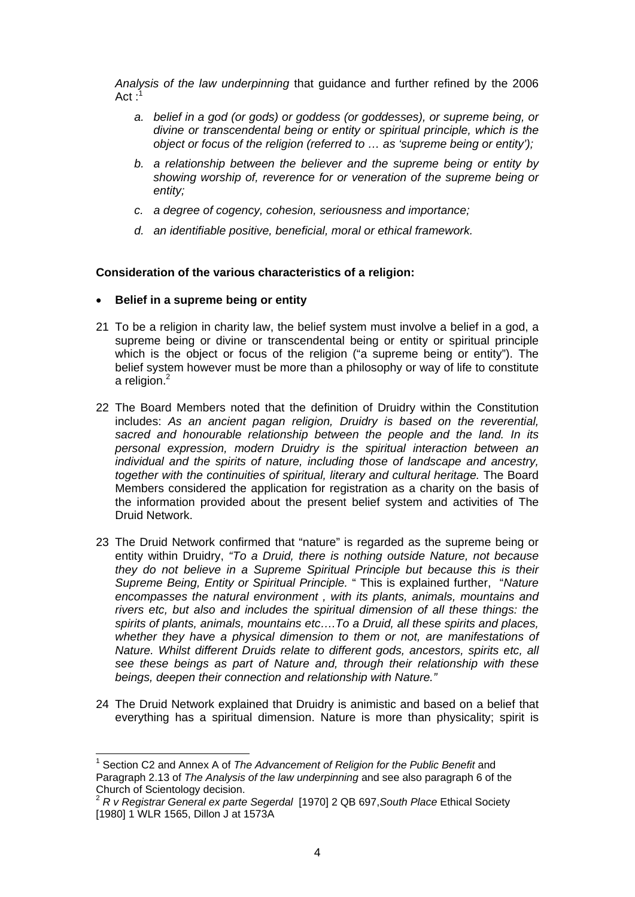*Analysis of the law underpinning* that guidance and further refined by the 2006  $Act:$ 

- *a. belief in a god (or gods) or goddess (or goddesses), or supreme being, or divine or transcendental being or entity or spiritual principle, which is the object or focus of the religion (referred to … as 'supreme being or entity');*
- *b. a relationship between the believer and the supreme being or entity by showing worship of, reverence for or veneration of the supreme being or entity;*
- *c. a degree of cogency, cohesion, seriousness and importance;*
- *d. an identifiable positive, beneficial, moral or ethical framework.*

# **Consideration of the various characteristics of a religion:**

- **Belief in a supreme being or entity**
- 21 To be a religion in charity law, the belief system must involve a belief in a god, a supreme being or divine or transcendental being or entity or spiritual principle which is the object or focus of the religion ("a supreme being or entity"). The belief system however must be more than a philosophy or way of life to constitute a religion.<sup>2</sup>
- 22 The Board Members noted that the definition of Druidry within the Constitution includes: *As an ancient pagan religion, Druidry is based on the reverential, sacred and honourable relationship between the people and the land. In its personal expression, modern Druidry is the spiritual interaction between an individual and the spirits of nature, including those of landscape and ancestry, together with the continuities of spiritual, literary and cultural heritage.* The Board Members considered the application for registration as a charity on the basis of the information provided about the present belief system and activities of The Druid Network.
- 23 The Druid Network confirmed that "nature" is regarded as the supreme being or entity within Druidry, *"To a Druid, there is nothing outside Nature, not because they do not believe in a Supreme Spiritual Principle but because this is their Supreme Being, Entity or Spiritual Principle.* " This is explained further, "*Nature encompasses the natural environment , with its plants, animals, mountains and rivers etc, but also and includes the spiritual dimension of all these things: the spirits of plants, animals, mountains etc….To a Druid, all these spirits and places, whether they have a physical dimension to them or not, are manifestations of Nature. Whilst different Druids relate to different gods, ancestors, spirits etc, all see these beings as part of Nature and, through their relationship with these beings, deepen their connection and relationship with Nature."*
- 24 The Druid Network explained that Druidry is animistic and based on a belief that everything has a spiritual dimension. Nature is more than physicality; spirit is

<sup>1</sup> <sup>1</sup> Section C2 and Annex A of *The Advancement of Religion for the Public Benefit* and Paragraph 2.13 of *The Analysis of the law underpinning* and see also paragraph 6 of the Church of Scientology decision.

<sup>2</sup> *R v Registrar General ex parte Segerdal* [1970] 2 QB 697,*South Place* Ethical Society [1980] 1 WLR 1565, Dillon J at 1573A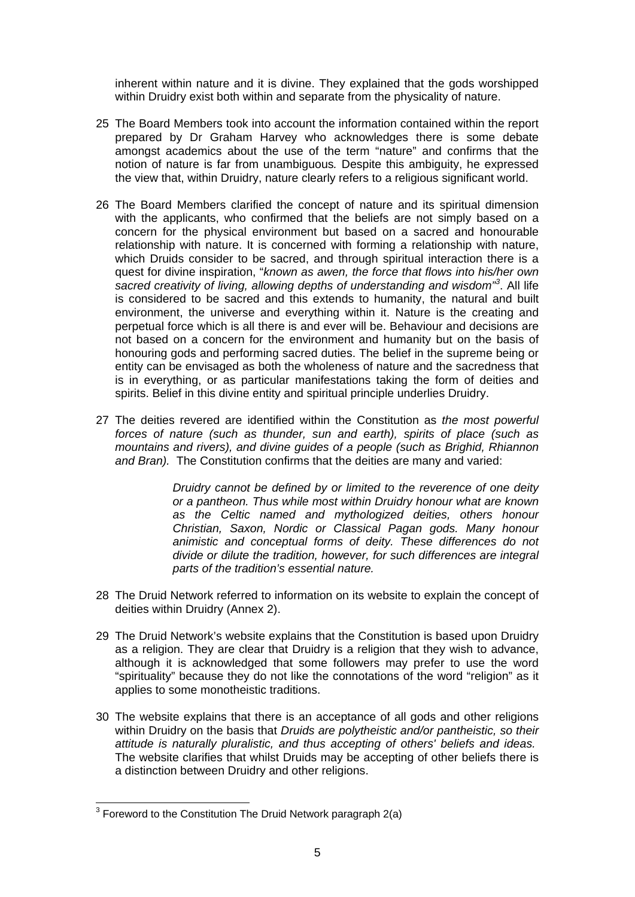inherent within nature and it is divine. They explained that the gods worshipped within Druidry exist both within and separate from the physicality of nature.

- 25 The Board Members took into account the information contained within the report prepared by Dr Graham Harvey who acknowledges there is some debate amongst academics about the use of the term "nature" and confirms that the notion of nature is far from unambiguous*.* Despite this ambiguity, he expressed the view that, within Druidry, nature clearly refers to a religious significant world.
- 26 The Board Members clarified the concept of nature and its spiritual dimension with the applicants, who confirmed that the beliefs are not simply based on a concern for the physical environment but based on a sacred and honourable relationship with nature. It is concerned with forming a relationship with nature, which Druids consider to be sacred, and through spiritual interaction there is a quest for divine inspiration, "*known as awen, the force that flows into his/her own sacred creativity of living, allowing depths of understanding and wisdom"<sup>3</sup>* . All life is considered to be sacred and this extends to humanity, the natural and built environment, the universe and everything within it. Nature is the creating and perpetual force which is all there is and ever will be. Behaviour and decisions are not based on a concern for the environment and humanity but on the basis of honouring gods and performing sacred duties. The belief in the supreme being or entity can be envisaged as both the wholeness of nature and the sacredness that is in everything, or as particular manifestations taking the form of deities and spirits. Belief in this divine entity and spiritual principle underlies Druidry.
- 27 The deities revered are identified within the Constitution as *the most powerful forces of nature (such as thunder, sun and earth), spirits of place (such as mountains and rivers), and divine guides of a people (such as Brighid, Rhiannon and Bran).* The Constitution confirms that the deities are many and varied:

*Druidry cannot be defined by or limited to the reverence of one deity or a pantheon. Thus while most within Druidry honour what are known as the Celtic named and mythologized deities, others honour Christian, Saxon, Nordic or Classical Pagan gods. Many honour animistic and conceptual forms of deity. These differences do not divide or dilute the tradition, however, for such differences are integral parts of the tradition's essential nature.* 

- 28 The Druid Network referred to information on its website to explain the concept of deities within Druidry (Annex 2).
- 29 The Druid Network's website explains that the Constitution is based upon Druidry as a religion. They are clear that Druidry is a religion that they wish to advance, although it is acknowledged that some followers may prefer to use the word "spirituality" because they do not like the connotations of the word "religion" as it applies to some monotheistic traditions.
- 30 The website explains that there is an acceptance of all gods and other religions within Druidry on the basis that *Druids are polytheistic and/or pantheistic, so their attitude is naturally pluralistic, and thus accepting of others' beliefs and ideas.*  The website clarifies that whilst Druids may be accepting of other beliefs there is a distinction between Druidry and other religions.

 3 Foreword to the Constitution The Druid Network paragraph 2(a)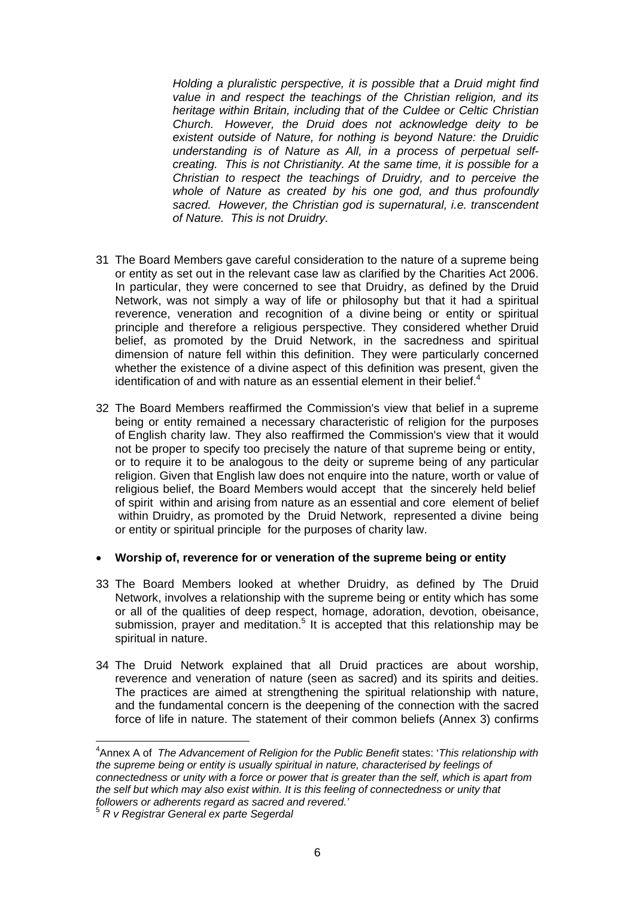*Holding a pluralistic perspective, it is possible that a Druid might find value in and respect the teachings of the Christian religion, and its heritage within Britain, including that of the Culdee or Celtic Christian Church. However, the Druid does not acknowledge deity to be existent outside of Nature, for nothing is beyond Nature: the Druidic understanding is of Nature as All, in a process of perpetual selfcreating. This is not Christianity. At the same time, it is possible for a Christian to respect the teachings of Druidry, and to perceive the whole of Nature as created by his one god, and thus profoundly sacred. However, the Christian god is supernatural, i.e. transcendent of Nature. This is not Druidry.* 

- 31 The Board Members gave careful consideration to the nature of a supreme being or entity as set out in the relevant case law as clarified by the Charities Act 2006. In particular, they were concerned to see that Druidry, as defined by the Druid Network, was not simply a way of life or philosophy but that it had a spiritual reverence, veneration and recognition of a divine being or entity or spiritual principle and therefore a religious perspective. They considered whether Druid belief, as promoted by the Druid Network, in the sacredness and spiritual dimension of nature fell within this definition. They were particularly concerned whether the existence of a divine aspect of this definition was present, given the identification of and with nature as an essential element in their belief.<sup>4</sup>
- 32 The Board Members reaffirmed the Commission's view that belief in a supreme being or entity remained a necessary characteristic of religion for the purposes of English charity law. They also reaffirmed the Commission's view that it would not be proper to specify too precisely the nature of that supreme being or entity, or to require it to be analogous to the deity or supreme being of any particular religion. Given that English law does not enquire into the nature, worth or value of religious belief, the Board Members would accept that the sincerely held belief of spirit within and arising from nature as an essential and core element of belief within Druidry, as promoted by the Druid Network, represented a divine being or entity or spiritual principle for the purposes of charity law.

#### **Worship of, reverence for or veneration of the supreme being or entity**

- 33 The Board Members looked at whether Druidry, as defined by The Druid Network, involves a relationship with the supreme being or entity which has some or all of the qualities of deep respect, homage, adoration, devotion, obeisance, submission, prayer and meditation.<sup>5</sup> It is accepted that this relationship may be spiritual in nature.
- 34 The Druid Network explained that all Druid practices are about worship, reverence and veneration of nature (seen as sacred) and its spirits and deities. The practices are aimed at strengthening the spiritual relationship with nature, and the fundamental concern is the deepening of the connection with the sacred force of life in nature. The statement of their common beliefs (Annex 3) confirms

<sup>4</sup> Annex A of *The Advancement of Religion for the Public Benefit* states: '*This relationship with the supreme being or entity is usually spiritual in nature, characterised by feelings of connectedness or unity with a force or power that is greater than the self, which is apart from the self but which may also exist within. It is this feeling of connectedness or unity that followers or adherents regard as sacred and revered.'* 

<sup>5</sup> *R v Registrar General ex parte Segerdal*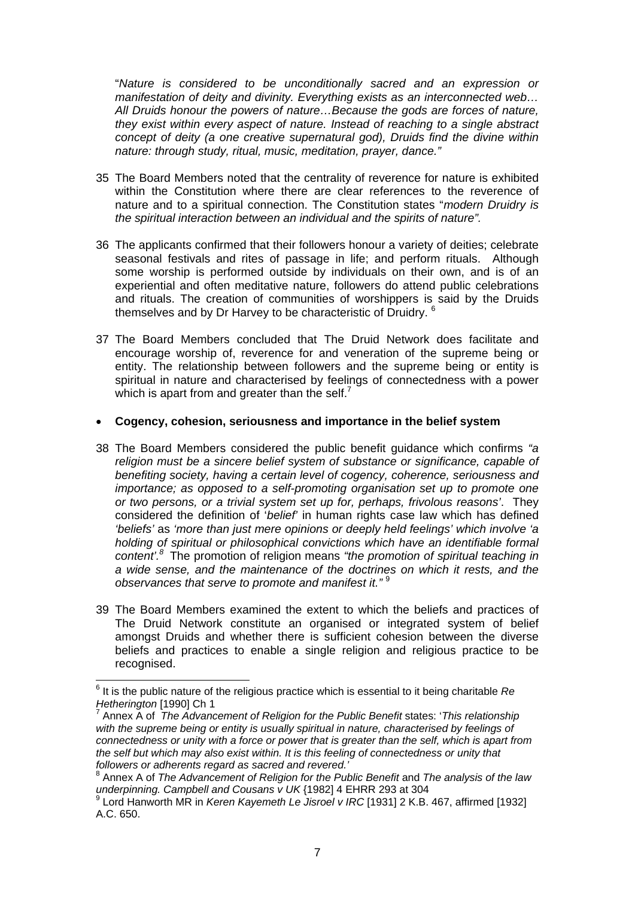"*Nature is considered to be unconditionally sacred and an expression or manifestation of deity and divinity. Everything exists as an interconnected web… All Druids honour the powers of nature…Because the gods are forces of nature, they exist within every aspect of nature. Instead of reaching to a single abstract concept of deity (a one creative supernatural god), Druids find the divine within nature: through study, ritual, music, meditation, prayer, dance."* 

- 35 The Board Members noted that the centrality of reverence for nature is exhibited within the Constitution where there are clear references to the reverence of nature and to a spiritual connection. The Constitution states "*modern Druidry is the spiritual interaction between an individual and the spirits of nature".*
- 36 The applicants confirmed that their followers honour a variety of deities; celebrate seasonal festivals and rites of passage in life; and perform rituals. Although some worship is performed outside by individuals on their own, and is of an experiential and often meditative nature, followers do attend public celebrations and rituals. The creation of communities of worshippers is said by the Druids themselves and by Dr Harvey to be characteristic of Druidry. 6
- 37 The Board Members concluded that The Druid Network does facilitate and encourage worship of, reverence for and veneration of the supreme being or entity. The relationship between followers and the supreme being or entity is spiritual in nature and characterised by feelings of connectedness with a power which is apart from and greater than the self.<sup>7</sup>

#### **Cogency, cohesion, seriousness and importance in the belief system**

- 38 The Board Members considered the public benefit guidance which confirms *"a religion must be a sincere belief system of substance or significance, capable of benefiting society, having a certain level of cogency, coherence, seriousness and importance; as opposed to a self-promoting organisation set up to promote one or two persons, or a trivial system set up for, perhaps, frivolous reasons'*. They considered the definition of '*belief'* in human rights case law which has defined *'beliefs'* as *'more than just mere opinions or deeply held feelings' which involve 'a holding of spiritual or philosophical convictions which have an identifiable formal content'.<sup>8</sup>* The promotion of religion means *"the promotion of spiritual teaching in a wide sense, and the maintenance of the doctrines on which it rests, and the observances that serve to promote and manifest it."* <sup>9</sup>
- 39 The Board Members examined the extent to which the beliefs and practices of The Druid Network constitute an organised or integrated system of belief amongst Druids and whether there is sufficient cohesion between the diverse beliefs and practices to enable a single religion and religious practice to be recognised.

<sup>6</sup> It is the public nature of the religious practice which is essential to it being charitable *Re Hetherington* [1990] Ch 1

Annex A of *The Advancement of Religion for the Public Benefit* states: '*This relationship*  with the supreme being or entity is usually spiritual in nature, characterised by feelings of *connectedness or unity with a force or power that is greater than the self, which is apart from the self but which may also exist within. It is this feeling of connectedness or unity that followers or adherents regard as sacred and revered.'* 

<sup>8</sup> Annex A of *The Advancement of Religion for the Public Benefit* and *The analysis of the law*  underpinning. Campbell and Cousans v UK {1982] 4 EHRR 293 at 304

Lord Hanworth MR in *Keren Kayemeth Le Jisroel v IRC* [1931] 2 K.B. 467, affirmed [1932] A.C. 650.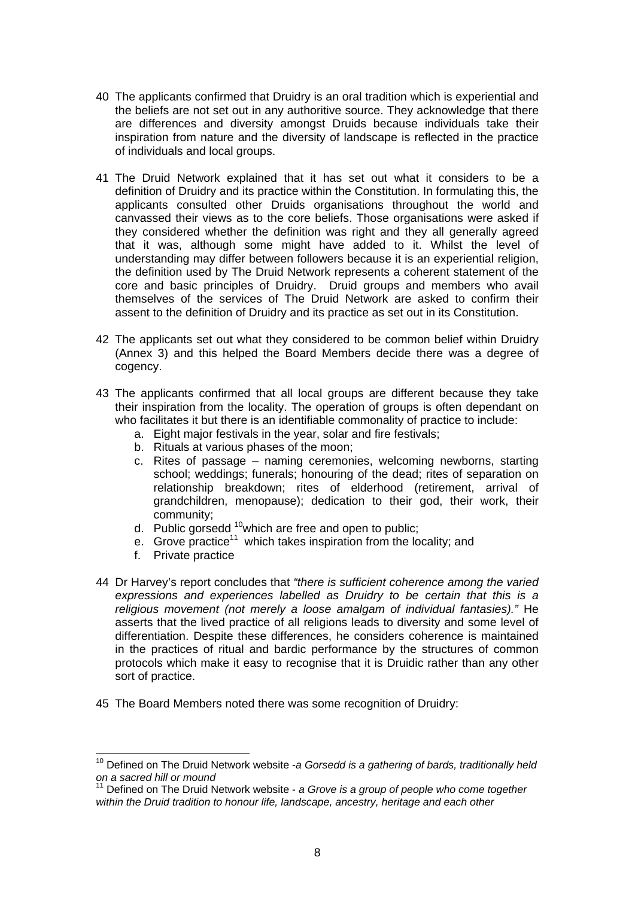- 40 The applicants confirmed that Druidry is an oral tradition which is experiential and the beliefs are not set out in any authoritive source. They acknowledge that there are differences and diversity amongst Druids because individuals take their inspiration from nature and the diversity of landscape is reflected in the practice of individuals and local groups.
- 41 The Druid Network explained that it has set out what it considers to be a definition of Druidry and its practice within the Constitution. In formulating this, the applicants consulted other Druids organisations throughout the world and canvassed their views as to the core beliefs. Those organisations were asked if they considered whether the definition was right and they all generally agreed that it was, although some might have added to it. Whilst the level of understanding may differ between followers because it is an experiential religion, the definition used by The Druid Network represents a coherent statement of the core and basic principles of Druidry. Druid groups and members who avail themselves of the services of The Druid Network are asked to confirm their assent to the definition of Druidry and its practice as set out in its Constitution.
- 42 The applicants set out what they considered to be common belief within Druidry (Annex 3) and this helped the Board Members decide there was a degree of cogency.
- 43 The applicants confirmed that all local groups are different because they take their inspiration from the locality. The operation of groups is often dependant on who facilitates it but there is an identifiable commonality of practice to include:
	- a. Eight major festivals in the year, solar and fire festivals;
	- b. Rituals at various phases of the moon;
	- c. Rites of passage naming ceremonies, welcoming newborns, starting school; weddings; funerals; honouring of the dead; rites of separation on relationship breakdown; rites of elderhood (retirement, arrival of grandchildren, menopause); dedication to their god, their work, their community;
	- d. Public gorsedd  $10$ which are free and open to public;
	- e. Grove practice<sup>11</sup> which takes inspiration from the locality; and
	- f. Private practice

- 44 Dr Harvey's report concludes that *"there is sufficient coherence among the varied expressions and experiences labelled as Druidry to be certain that this is a religious movement (not merely a loose amalgam of individual fantasies)."* He asserts that the lived practice of all religions leads to diversity and some level of differentiation. Despite these differences, he considers coherence is maintained in the practices of ritual and bardic performance by the structures of common protocols which make it easy to recognise that it is Druidic rather than any other sort of practice.
- 45 The Board Members noted there was some recognition of Druidry:

<sup>10</sup> Defined on The Druid Network website -*a Gorsedd is a gathering of bards, traditionally held on a sacred hill or mound* 

<sup>&</sup>lt;sup>11</sup> Defined on The Druid Network website - *a Grove is a group of people who come together within the Druid tradition to honour life, landscape, ancestry, heritage and each other*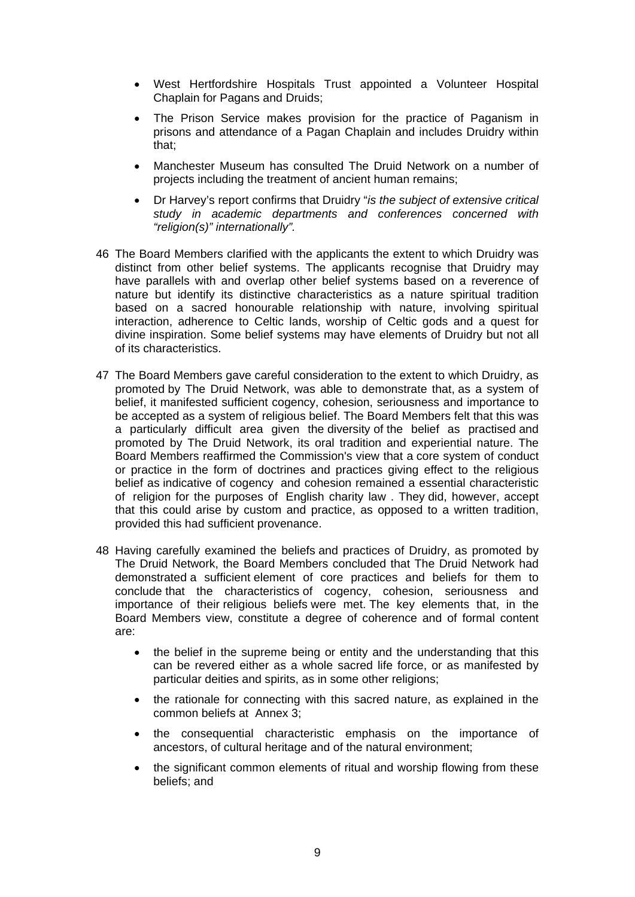- West Hertfordshire Hospitals Trust appointed a Volunteer Hospital Chaplain for Pagans and Druids;
- The Prison Service makes provision for the practice of Paganism in prisons and attendance of a Pagan Chaplain and includes Druidry within that;
- Manchester Museum has consulted The Druid Network on a number of projects including the treatment of ancient human remains;
- Dr Harvey's report confirms that Druidry "*is the subject of extensive critical study in academic departments and conferences concerned with "religion(s)" internationally".*
- 46 The Board Members clarified with the applicants the extent to which Druidry was distinct from other belief systems. The applicants recognise that Druidry may have parallels with and overlap other belief systems based on a reverence of nature but identify its distinctive characteristics as a nature spiritual tradition based on a sacred honourable relationship with nature, involving spiritual interaction, adherence to Celtic lands, worship of Celtic gods and a quest for divine inspiration. Some belief systems may have elements of Druidry but not all of its characteristics.
- 47 The Board Members gave careful consideration to the extent to which Druidry, as promoted by The Druid Network, was able to demonstrate that, as a system of belief, it manifested sufficient cogency, cohesion, seriousness and importance to be accepted as a system of religious belief. The Board Members felt that this was a particularly difficult area given the diversity of the belief as practised and promoted by The Druid Network, its oral tradition and experiential nature. The Board Members reaffirmed the Commission's view that a core system of conduct or practice in the form of doctrines and practices giving effect to the religious belief as indicative of cogency and cohesion remained a essential characteristic of religion for the purposes of English charity law . They did, however, accept that this could arise by custom and practice, as opposed to a written tradition, provided this had sufficient provenance.
- 48 Having carefully examined the beliefs and practices of Druidry, as promoted by The Druid Network, the Board Members concluded that The Druid Network had demonstrated a sufficient element of core practices and beliefs for them to conclude that the characteristics of cogency, cohesion, seriousness and importance of their religious beliefs were met. The key elements that, in the Board Members view, constitute a degree of coherence and of formal content are:
	- the belief in the supreme being or entity and the understanding that this can be revered either as a whole sacred life force, or as manifested by particular deities and spirits, as in some other religions;
	- the rationale for connecting with this sacred nature, as explained in the common beliefs at Annex 3;
	- the consequential characteristic emphasis on the importance of ancestors, of cultural heritage and of the natural environment;
	- the significant common elements of ritual and worship flowing from these beliefs; and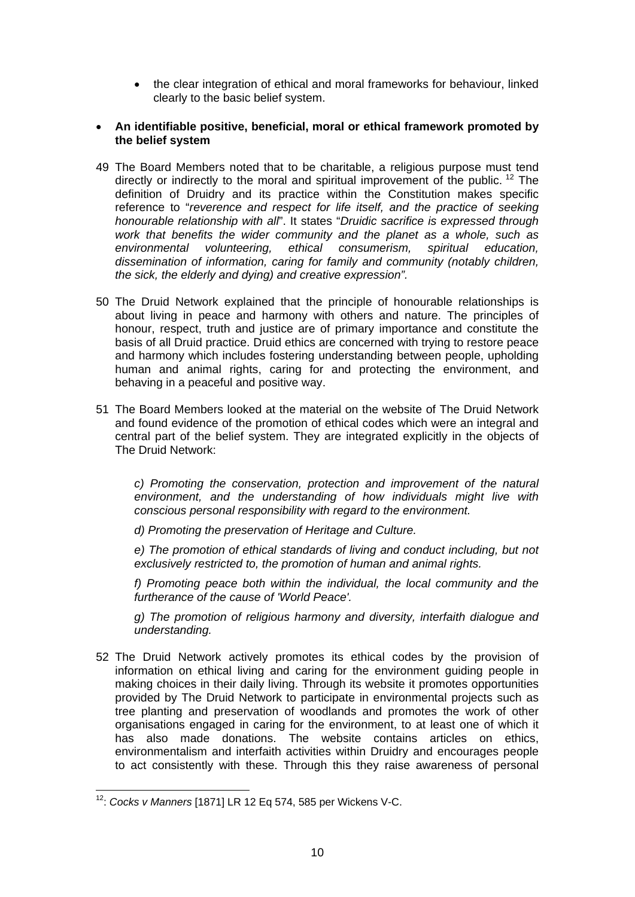- the clear integration of ethical and moral frameworks for behaviour, linked clearly to the basic belief system.
- **An identifiable positive, beneficial, moral or ethical framework promoted by the belief system**
- 49 The Board Members noted that to be charitable, a religious purpose must tend directly or indirectly to the moral and spiritual improvement of the public.  $12$  The definition of Druidry and its practice within the Constitution makes specific reference to "*reverence and respect for life itself, and the practice of seeking honourable relationship with all*". It states "*Druidic sacrifice is expressed through work that benefits the wider community and the planet as a whole, such as environmental volunteering, ethical consumerism, spiritual education, dissemination of information, caring for family and community (notably children, the sick, the elderly and dying) and creative expression".*
- 50 The Druid Network explained that the principle of honourable relationships is about living in peace and harmony with others and nature. The principles of honour, respect, truth and justice are of primary importance and constitute the basis of all Druid practice. Druid ethics are concerned with trying to restore peace and harmony which includes fostering understanding between people, upholding human and animal rights, caring for and protecting the environment, and behaving in a peaceful and positive way.
- 51 The Board Members looked at the material on the website of The Druid Network and found evidence of the promotion of ethical codes which were an integral and central part of the belief system. They are integrated explicitly in the objects of The Druid Network:

*c) Promoting the conservation, protection and improvement of the natural environment, and the understanding of how individuals might live with conscious personal responsibility with regard to the environment.* 

*d) Promoting the preservation of Heritage and Culture.* 

*e) The promotion of ethical standards of living and conduct including, but not exclusively restricted to, the promotion of human and animal rights.* 

*f) Promoting peace both within the individual, the local community and the furtherance of the cause of 'World Peace'.* 

*g) The promotion of religious harmony and diversity, interfaith dialogue and understanding.* 

52 The Druid Network actively promotes its ethical codes by the provision of information on ethical living and caring for the environment guiding people in making choices in their daily living. Through its website it promotes opportunities provided by The Druid Network to participate in environmental projects such as tree planting and preservation of woodlands and promotes the work of other organisations engaged in caring for the environment, to at least one of which it has also made donations. The website contains articles on ethics, environmentalism and interfaith activities within Druidry and encourages people to act consistently with these. Through this they raise awareness of personal

<sup>1</sup> 12: *Cocks v Manners* [1871] LR 12 Eq 574, 585 per Wickens V-C.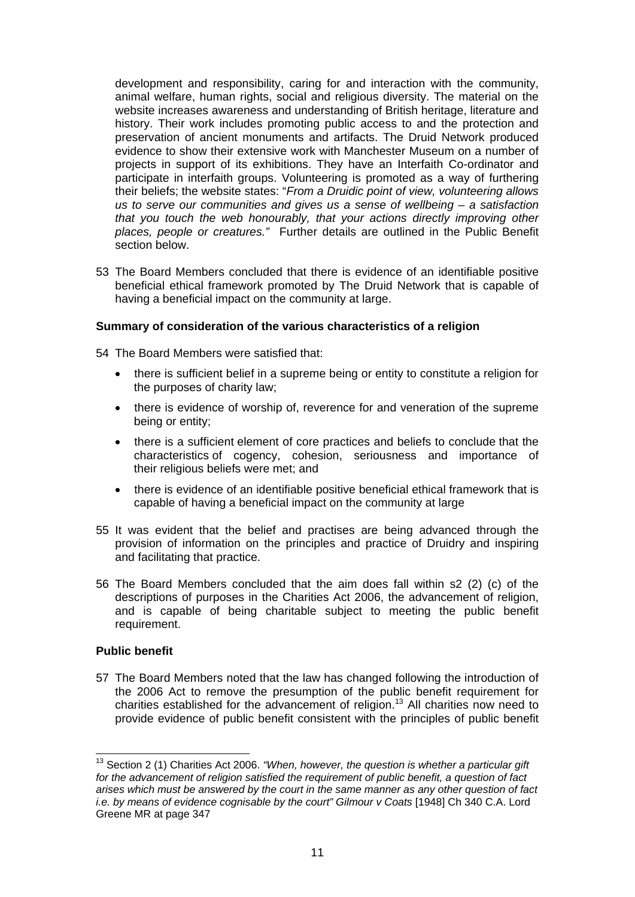development and responsibility, caring for and interaction with the community, animal welfare, human rights, social and religious diversity. The material on the website increases awareness and understanding of British heritage, literature and history. Their work includes promoting public access to and the protection and preservation of ancient monuments and artifacts. The Druid Network produced evidence to show their extensive work with Manchester Museum on a number of projects in support of its exhibitions. They have an Interfaith Co-ordinator and participate in interfaith groups. Volunteering is promoted as a way of furthering their beliefs; the website states: "*From a Druidic point of view, volunteering allows us to serve our communities and gives us a sense of wellbeing – a satisfaction that you touch the web honourably, that your actions directly improving other places, people or creatures."* Further details are outlined in the Public Benefit section below.

53 The Board Members concluded that there is evidence of an identifiable positive beneficial ethical framework promoted by The Druid Network that is capable of having a beneficial impact on the community at large.

### **Summary of consideration of the various characteristics of a religion**

54 The Board Members were satisfied that:

- there is sufficient belief in a supreme being or entity to constitute a religion for the purposes of charity law;
- there is evidence of worship of, reverence for and veneration of the supreme being or entity;
- there is a sufficient element of core practices and beliefs to conclude that the characteristics of cogency, cohesion, seriousness and importance of their religious beliefs were met; and
- there is evidence of an identifiable positive beneficial ethical framework that is capable of having a beneficial impact on the community at large
- 55 It was evident that the belief and practises are being advanced through the provision of information on the principles and practice of Druidry and inspiring and facilitating that practice.
- 56 The Board Members concluded that the aim does fall within s2 (2) (c) of the descriptions of purposes in the Charities Act 2006, the advancement of religion, and is capable of being charitable subject to meeting the public benefit requirement.

# **Public benefit**

1

57 The Board Members noted that the law has changed following the introduction of the 2006 Act to remove the presumption of the public benefit requirement for charities established for the advancement of religion.<sup>13</sup> All charities now need to provide evidence of public benefit consistent with the principles of public benefit

<sup>&</sup>lt;sup>13</sup> Section 2 (1) Charities Act 2006. *"When, however, the question is whether a particular gift for the advancement of religion satisfied the requirement of public benefit, a question of fact arises which must be answered by the court in the same manner as any other question of fact i.e. by means of evidence cognisable by the court" Gilmour v Coats* [1948] Ch 340 C.A. Lord Greene MR at page 347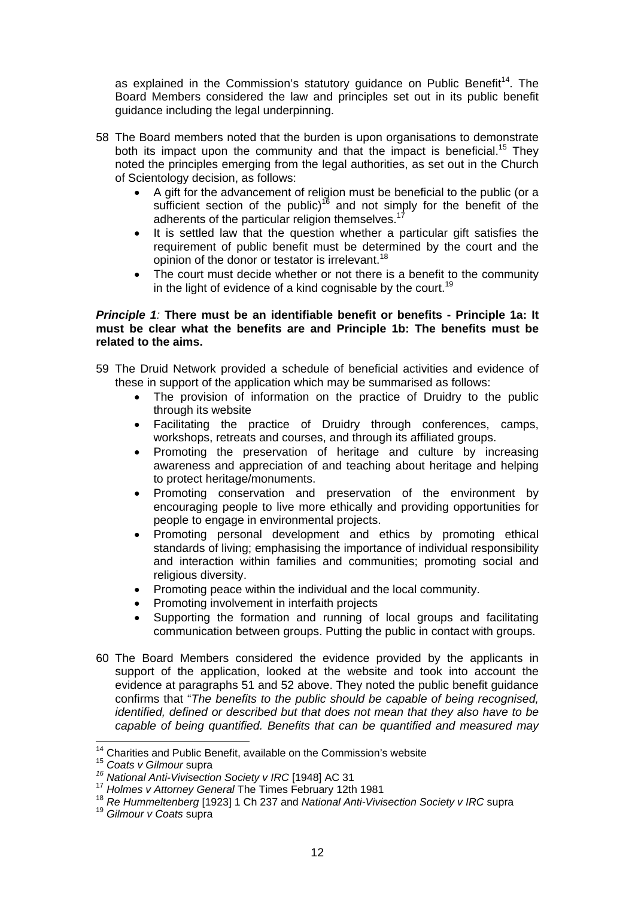as explained in the Commission's statutory guidance on Public Benefit<sup>14</sup>. The Board Members considered the law and principles set out in its public benefit guidance including the legal underpinning.

- 58 The Board members noted that the burden is upon organisations to demonstrate both its impact upon the community and that the impact is beneficial.<sup>15</sup> They noted the principles emerging from the legal authorities, as set out in the Church of Scientology decision, as follows:
	- A gift for the advancement of religion must be beneficial to the public (or a sufficient section of the public)<sup>16</sup> and not simply for the benefit of the adherents of the particular religion themselves.<sup>17</sup>
	- It is settled law that the question whether a particular gift satisfies the requirement of public benefit must be determined by the court and the opinion of the donor or testator is irrelevant.<sup>18</sup>
	- The court must decide whether or not there is a benefit to the community in the light of evidence of a kind cognisable by the court.<sup>19</sup>

## *Principle 1:* **There must be an identifiable benefit or benefits - Principle 1a: It must be clear what the benefits are and Principle 1b: The benefits must be related to the aims.**

- 59 The Druid Network provided a schedule of beneficial activities and evidence of these in support of the application which may be summarised as follows:
	- The provision of information on the practice of Druidry to the public through its website
	- Facilitating the practice of Druidry through conferences, camps, workshops, retreats and courses, and through its affiliated groups.
	- Promoting the preservation of heritage and culture by increasing awareness and appreciation of and teaching about heritage and helping to protect heritage/monuments.
	- Promoting conservation and preservation of the environment by encouraging people to live more ethically and providing opportunities for people to engage in environmental projects.
	- Promoting personal development and ethics by promoting ethical standards of living; emphasising the importance of individual responsibility and interaction within families and communities; promoting social and religious diversity.
	- Promoting peace within the individual and the local community.
	- Promoting involvement in interfaith projects
	- Supporting the formation and running of local groups and facilitating communication between groups. Putting the public in contact with groups.
- 60 The Board Members considered the evidence provided by the applicants in support of the application, looked at the website and took into account the evidence at paragraphs 51 and 52 above. They noted the public benefit guidance confirms that "*The benefits to the public should be capable of being recognised, identified, defined or described but that does not mean that they also have to be capable of being quantified. Benefits that can be quantified and measured may*

<sup>&</sup>lt;sup>14</sup> Charities and Public Benefit, available on the Commission's website

<sup>&</sup>lt;sup>15</sup> Coats v Gilmour supra<br><sup>16</sup> National Anti-Vivisection Society v IRC [1948] AC 31<br><sup>17</sup> Holmes v Attorney General The Times February 12th 1981

<sup>&</sup>lt;sup>18</sup> *Re Hummeltenberg* [1923] 1 Ch 237 and *National Anti-Vivisection Society v IRC* supra <sup>19</sup> *Gilmour v Coats* supra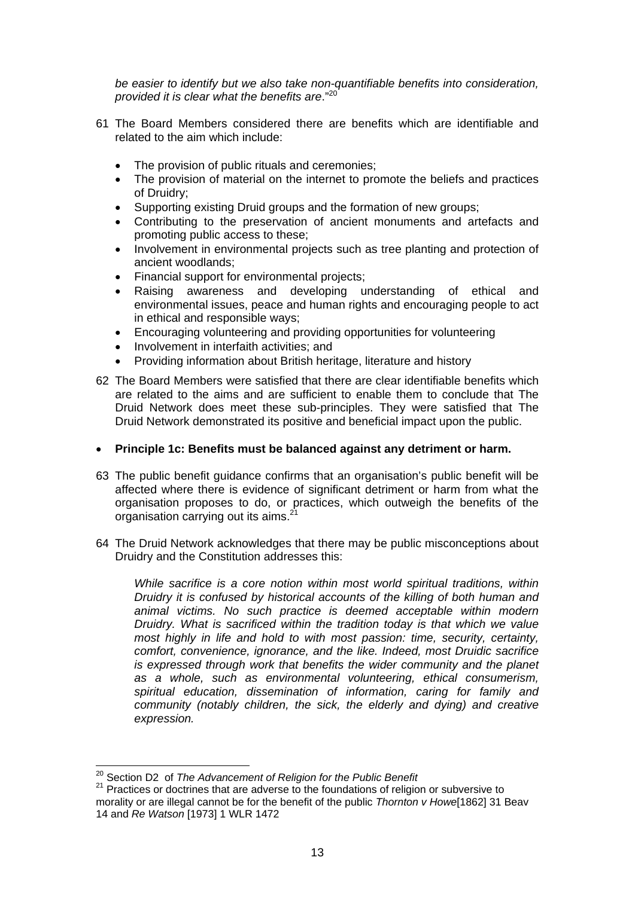*be easier to identify but we also take non-quantifiable benefits into consideration, provided it is clear what the benefits are*."<sup>20</sup>

- 61 The Board Members considered there are benefits which are identifiable and related to the aim which include:
	- The provision of public rituals and ceremonies;
	- The provision of material on the internet to promote the beliefs and practices of Druidry;
	- Supporting existing Druid groups and the formation of new groups;
	- Contributing to the preservation of ancient monuments and artefacts and promoting public access to these;
	- Involvement in environmental projects such as tree planting and protection of ancient woodlands;
	- Financial support for environmental projects;
	- Raising awareness and developing understanding of ethical and environmental issues, peace and human rights and encouraging people to act in ethical and responsible ways;
	- Encouraging volunteering and providing opportunities for volunteering
	- Involvement in interfaith activities; and
	- Providing information about British heritage, literature and history
- 62 The Board Members were satisfied that there are clear identifiable benefits which are related to the aims and are sufficient to enable them to conclude that The Druid Network does meet these sub-principles. They were satisfied that The Druid Network demonstrated its positive and beneficial impact upon the public.

#### **Principle 1c: Benefits must be balanced against any detriment or harm.**

- 63 The public benefit guidance confirms that an organisation's public benefit will be affected where there is evidence of significant detriment or harm from what the organisation proposes to do, or practices, which outweigh the benefits of the organisation carrying out its aims.<sup>2</sup>
- 64 The Druid Network acknowledges that there may be public misconceptions about Druidry and the Constitution addresses this:

*While sacrifice is a core notion within most world spiritual traditions, within Druidry it is confused by historical accounts of the killing of both human and animal victims. No such practice is deemed acceptable within modern Druidry. What is sacrificed within the tradition today is that which we value most highly in life and hold to with most passion: time, security, certainty, comfort, convenience, ignorance, and the like. Indeed, most Druidic sacrifice is expressed through work that benefits the wider community and the planet as a whole, such as environmental volunteering, ethical consumerism, spiritual education, dissemination of information, caring for family and community (notably children, the sick, the elderly and dying) and creative expression.* 

<sup>&</sup>lt;sup>20</sup> Section D2 of The Advancement of Religion for the Public Benefit

<sup>&</sup>lt;sup>21</sup> Practices or doctrines that are adverse to the foundations of religion or subversive to morality or are illegal cannot be for the benefit of the public *Thornton v Howe*[1862] 31 Beav 14 and *Re Watson* [1973] 1 WLR 1472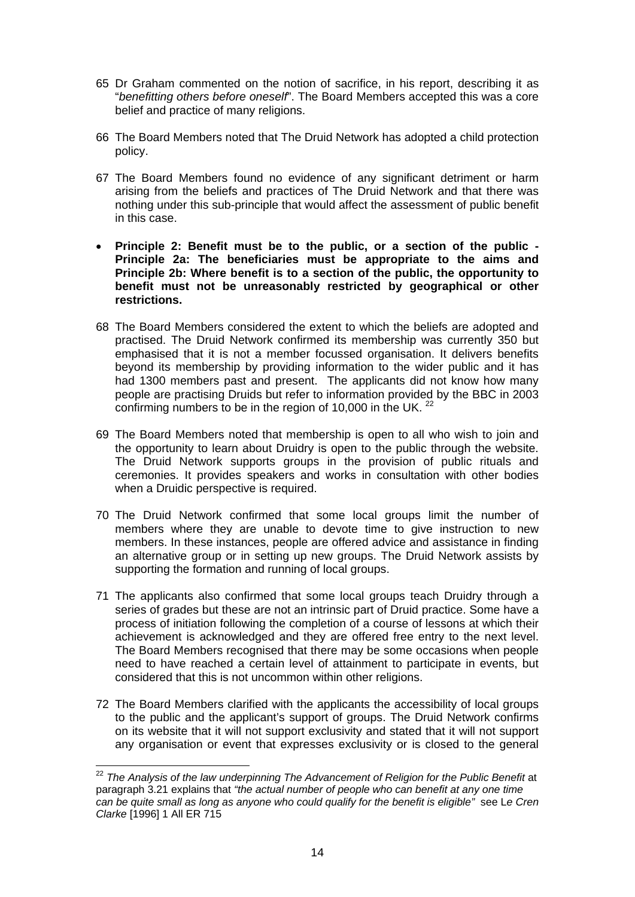- 65 Dr Graham commented on the notion of sacrifice, in his report, describing it as "*benefitting others before oneself*". The Board Members accepted this was a core belief and practice of many religions.
- 66 The Board Members noted that The Druid Network has adopted a child protection policy.
- 67 The Board Members found no evidence of any significant detriment or harm arising from the beliefs and practices of The Druid Network and that there was nothing under this sub-principle that would affect the assessment of public benefit in this case.
- **Principle 2: Benefit must be to the public, or a section of the public Principle 2a: The beneficiaries must be appropriate to the aims and Principle 2b: Where benefit is to a section of the public, the opportunity to benefit must not be unreasonably restricted by geographical or other restrictions.**
- 68 The Board Members considered the extent to which the beliefs are adopted and practised. The Druid Network confirmed its membership was currently 350 but emphasised that it is not a member focussed organisation. It delivers benefits beyond its membership by providing information to the wider public and it has had 1300 members past and present. The applicants did not know how many people are practising Druids but refer to information provided by the BBC in 2003 confirming numbers to be in the region of 10,000 in the UK.<sup>22</sup>
- 69 The Board Members noted that membership is open to all who wish to join and the opportunity to learn about Druidry is open to the public through the website. The Druid Network supports groups in the provision of public rituals and ceremonies. It provides speakers and works in consultation with other bodies when a Druidic perspective is required.
- 70 The Druid Network confirmed that some local groups limit the number of members where they are unable to devote time to give instruction to new members. In these instances, people are offered advice and assistance in finding an alternative group or in setting up new groups. The Druid Network assists by supporting the formation and running of local groups.
- 71 The applicants also confirmed that some local groups teach Druidry through a series of grades but these are not an intrinsic part of Druid practice. Some have a process of initiation following the completion of a course of lessons at which their achievement is acknowledged and they are offered free entry to the next level. The Board Members recognised that there may be some occasions when people need to have reached a certain level of attainment to participate in events, but considered that this is not uncommon within other religions.
- 72 The Board Members clarified with the applicants the accessibility of local groups to the public and the applicant's support of groups. The Druid Network confirms on its website that it will not support exclusivity and stated that it will not support any organisation or event that expresses exclusivity or is closed to the general

 $\overline{a}$ 

<sup>&</sup>lt;sup>22</sup> The Analysis of the law underpinning The Advancement of Religion for the Public Benefit at paragraph 3.21 explains that *"the actual number of people who can benefit at any one time can be quite small as long as anyone who could qualify for the benefit is eligible"* see L*e Cren Clarke* [1996] 1 All ER 715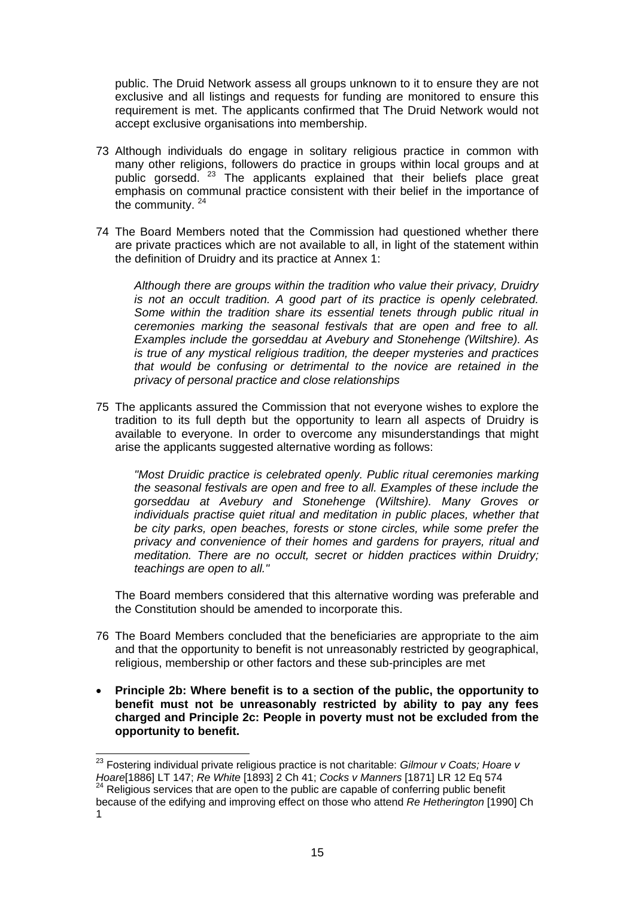public. The Druid Network assess all groups unknown to it to ensure they are not exclusive and all listings and requests for funding are monitored to ensure this requirement is met. The applicants confirmed that The Druid Network would not accept exclusive organisations into membership.

- 73 Although individuals do engage in solitary religious practice in common with many other religions, followers do practice in groups within local groups and at public gorsedd. 23 The applicants explained that their beliefs place great emphasis on communal practice consistent with their belief in the importance of the community.<sup>24</sup>
- 74 The Board Members noted that the Commission had questioned whether there are private practices which are not available to all, in light of the statement within the definition of Druidry and its practice at Annex 1:

*Although there are groups within the tradition who value their privacy, Druidry is not an occult tradition. A good part of its practice is openly celebrated. Some within the tradition share its essential tenets through public ritual in ceremonies marking the seasonal festivals that are open and free to all. Examples include the gorseddau at Avebury and Stonehenge (Wiltshire). As is true of any mystical religious tradition, the deeper mysteries and practices that would be confusing or detrimental to the novice are retained in the privacy of personal practice and close relationships* 

75 The applicants assured the Commission that not everyone wishes to explore the tradition to its full depth but the opportunity to learn all aspects of Druidry is available to everyone. In order to overcome any misunderstandings that might arise the applicants suggested alternative wording as follows:

*"Most Druidic practice is celebrated openly. Public ritual ceremonies marking the seasonal festivals are open and free to all. Examples of these include the gorseddau at Avebury and Stonehenge (Wiltshire). Many Groves or individuals practise quiet ritual and meditation in public places, whether that be city parks, open beaches, forests or stone circles, while some prefer the privacy and convenience of their homes and gardens for prayers, ritual and meditation. There are no occult, secret or hidden practices within Druidry; teachings are open to all."* 

The Board members considered that this alternative wording was preferable and the Constitution should be amended to incorporate this.

- 76 The Board Members concluded that the beneficiaries are appropriate to the aim and that the opportunity to benefit is not unreasonably restricted by geographical, religious, membership or other factors and these sub-principles are met
- **Principle 2b: Where benefit is to a section of the public, the opportunity to benefit must not be unreasonably restricted by ability to pay any fees charged and Principle 2c: People in poverty must not be excluded from the opportunity to benefit.**

<sup>23</sup> Fostering individual private religious practice is not charitable: *Gilmour v Coats; Hoare v Hoare*[1886] LT 147; *Re White* [1893] 2 Ch 41; *Cocks v Manners* [1871] LR 12 Eq 574<br><sup>24</sup> Religious services that are open to the public are capable of conferring public benefit because of the edifying and improving effect on those who attend *Re Hetherington* [1990] Ch 1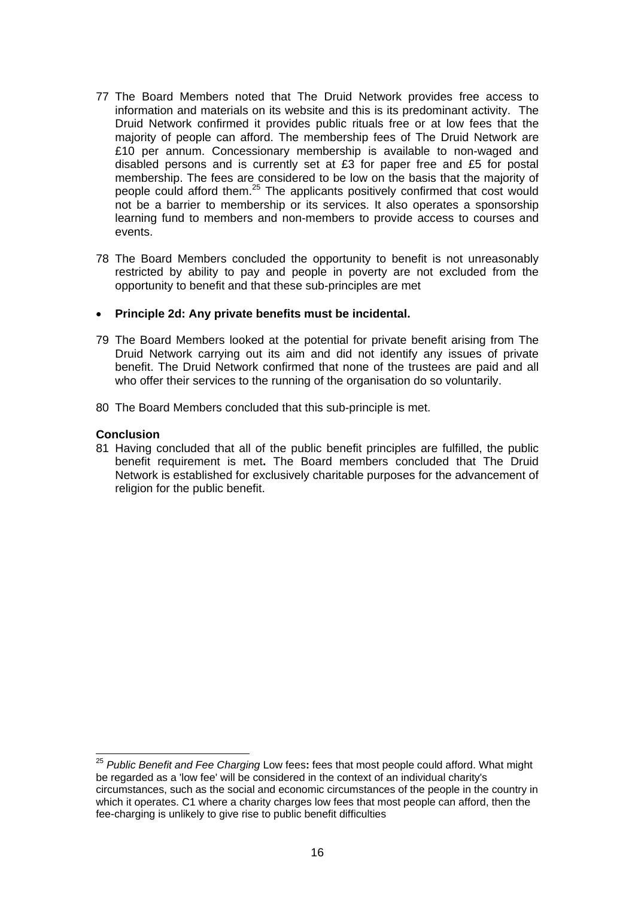- 77 The Board Members noted that The Druid Network provides free access to information and materials on its website and this is its predominant activity. The Druid Network confirmed it provides public rituals free or at low fees that the majority of people can afford. The membership fees of The Druid Network are £10 per annum. Concessionary membership is available to non-waged and disabled persons and is currently set at £3 for paper free and £5 for postal membership. The fees are considered to be low on the basis that the majority of people could afford them.25 The applicants positively confirmed that cost would not be a barrier to membership or its services. It also operates a sponsorship learning fund to members and non-members to provide access to courses and events.
- 78 The Board Members concluded the opportunity to benefit is not unreasonably restricted by ability to pay and people in poverty are not excluded from the opportunity to benefit and that these sub-principles are met
- **Principle 2d: Any private benefits must be incidental.**
- 79 The Board Members looked at the potential for private benefit arising from The Druid Network carrying out its aim and did not identify any issues of private benefit. The Druid Network confirmed that none of the trustees are paid and all who offer their services to the running of the organisation do so voluntarily.
- 80 The Board Members concluded that this sub-principle is met.

#### **Conclusion**

81 Having concluded that all of the public benefit principles are fulfilled, the public benefit requirement is met**.** The Board members concluded that The Druid Network is established for exclusively charitable purposes for the advancement of religion for the public benefit.

<sup>1</sup> <sup>25</sup> *Public Benefit and Fee Charging* Low fees**:** fees that most people could afford. What might be regarded as a 'low fee' will be considered in the context of an individual charity's circumstances, such as the social and economic circumstances of the people in the country in which it operates. C1 where a charity charges low fees that most people can afford, then the fee-charging is unlikely to give rise to public benefit difficulties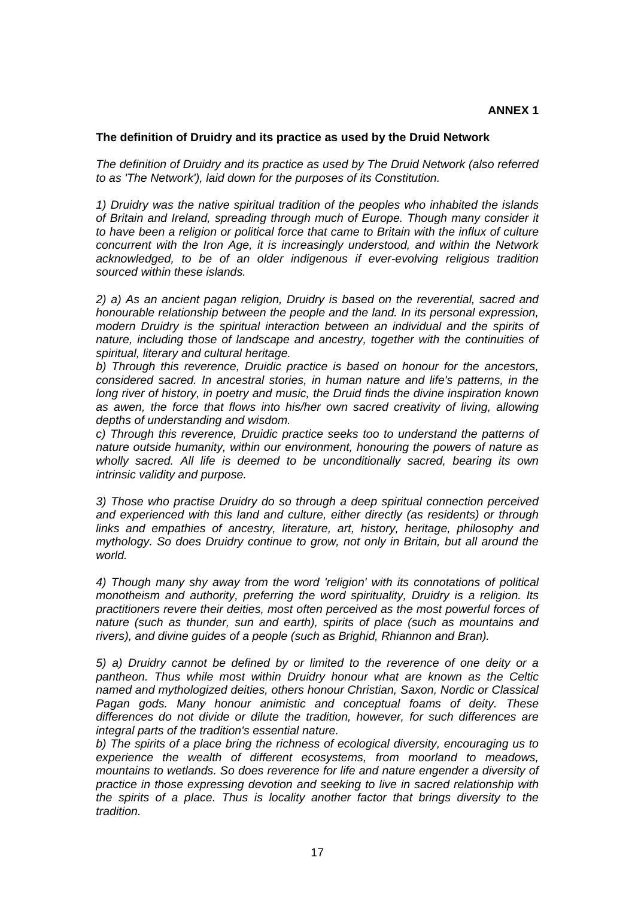### **The definition of Druidry and its practice as used by the Druid Network**

*The definition of Druidry and its practice as used by The Druid Network (also referred to as 'The Network'), laid down for the purposes of its Constitution.* 

*1) Druidry was the native spiritual tradition of the peoples who inhabited the islands of Britain and Ireland, spreading through much of Europe. Though many consider it to have been a religion or political force that came to Britain with the influx of culture concurrent with the Iron Age, it is increasingly understood, and within the Network acknowledged, to be of an older indigenous if ever-evolving religious tradition sourced within these islands.* 

*2) a) As an ancient pagan religion, Druidry is based on the reverential, sacred and honourable relationship between the people and the land. In its personal expression, modern Druidry is the spiritual interaction between an individual and the spirits of nature, including those of landscape and ancestry, together with the continuities of spiritual, literary and cultural heritage.* 

*b) Through this reverence, Druidic practice is based on honour for the ancestors, considered sacred. In ancestral stories, in human nature and life's patterns, in the long river of history, in poetry and music, the Druid finds the divine inspiration known*  as awen, the force that flows into his/her own sacred creativity of living, allowing *depths of understanding and wisdom.* 

*c) Through this reverence, Druidic practice seeks too to understand the patterns of nature outside humanity, within our environment, honouring the powers of nature as wholly sacred. All life is deemed to be unconditionally sacred, bearing its own intrinsic validity and purpose.* 

*3) Those who practise Druidry do so through a deep spiritual connection perceived and experienced with this land and culture, either directly (as residents) or through links and empathies of ancestry, literature, art, history, heritage, philosophy and mythology. So does Druidry continue to grow, not only in Britain, but all around the world.* 

*4) Though many shy away from the word 'religion' with its connotations of political monotheism and authority, preferring the word spirituality, Druidry is a religion. Its practitioners revere their deities, most often perceived as the most powerful forces of nature (such as thunder, sun and earth), spirits of place (such as mountains and rivers), and divine guides of a people (such as Brighid, Rhiannon and Bran).* 

*5) a) Druidry cannot be defined by or limited to the reverence of one deity or a pantheon. Thus while most within Druidry honour what are known as the Celtic named and mythologized deities, others honour Christian, Saxon, Nordic or Classical Pagan gods. Many honour animistic and conceptual foams of deity. These differences do not divide or dilute the tradition, however, for such differences are integral parts of the tradition's essential nature.* 

*b) The spirits of a place bring the richness of ecological diversity, encouraging us to experience the wealth of different ecosystems, from moorland to meadows, mountains to wetlands. So does reverence for life and nature engender a diversity of practice in those expressing devotion and seeking to live in sacred relationship with the spirits of a place. Thus is locality another factor that brings diversity to the tradition.*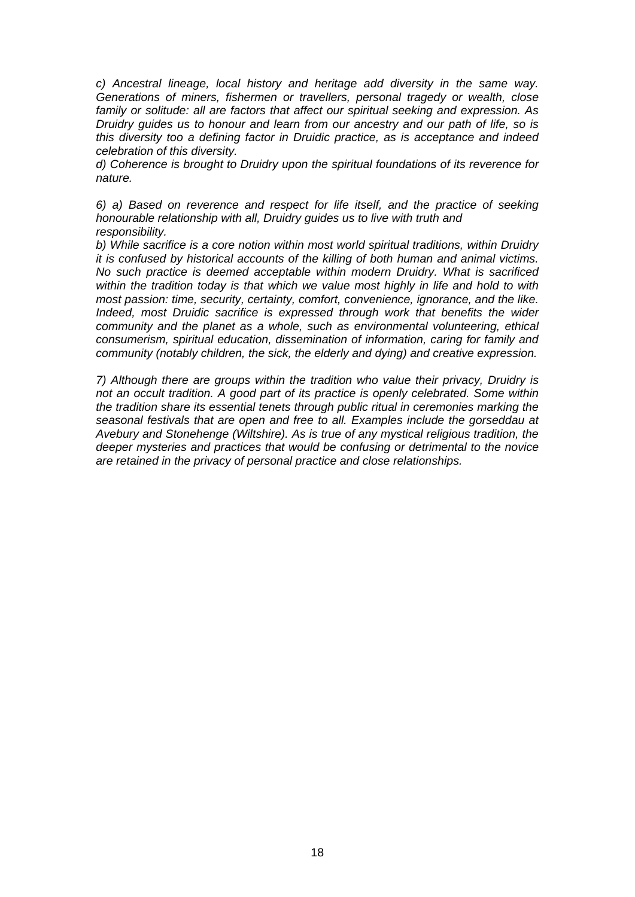*c) Ancestral lineage, local history and heritage add diversity in the same way. Generations of miners, fishermen or travellers, personal tragedy or wealth, close family or solitude: all are factors that affect our spiritual seeking and expression. As Druidry guides us to honour and learn from our ancestry and our path of life, so is this diversity too a defining factor in Druidic practice, as is acceptance and indeed celebration of this diversity.* 

*d) Coherence is brought to Druidry upon the spiritual foundations of its reverence for nature.* 

*6) a) Based on reverence and respect for life itself, and the practice of seeking honourable relationship with all, Druidry guides us to live with truth and responsibility.* 

*b) While sacrifice is a core notion within most world spiritual traditions, within Druidry it is confused by historical accounts of the killing of both human and animal victims. No such practice is deemed acceptable within modern Druidry. What is sacrificed within the tradition today is that which we value most highly in life and hold to with most passion: time, security, certainty, comfort, convenience, ignorance, and the like. Indeed, most Druidic sacrifice is expressed through work that benefits the wider community and the planet as a whole, such as environmental volunteering, ethical consumerism, spiritual education, dissemination of information, caring for family and community (notably children, the sick, the elderly and dying) and creative expression.* 

*7) Although there are groups within the tradition who value their privacy, Druidry is not an occult tradition. A good part of its practice is openly celebrated. Some within the tradition share its essential tenets through public ritual in ceremonies marking the seasonal festivals that are open and free to all. Examples include the gorseddau at Avebury and Stonehenge (Wiltshire). As is true of any mystical religious tradition, the deeper mysteries and practices that would be confusing or detrimental to the novice are retained in the privacy of personal practice and close relationships.*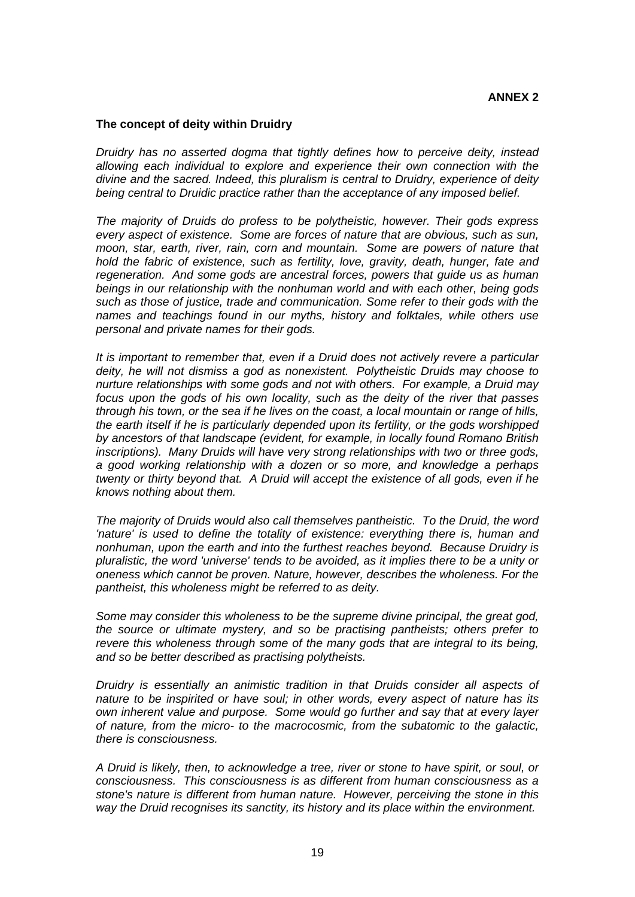### **The concept of deity within Druidry**

*Druidry has no asserted dogma that tightly defines how to perceive deity, instead allowing each individual to explore and experience their own connection with the divine and the sacred. Indeed, this pluralism is central to Druidry, experience of deity being central to Druidic practice rather than the acceptance of any imposed belief.* 

*The majority of Druids do profess to be polytheistic, however. Their gods express every aspect of existence. Some are forces of nature that are obvious, such as sun, moon, star, earth, river, rain, corn and mountain. Some are powers of nature that hold the fabric of existence, such as fertility, love, gravity, death, hunger, fate and regeneration. And some gods are ancestral forces, powers that guide us as human beings in our relationship with the nonhuman world and with each other, being gods such as those of justice, trade and communication. Some refer to their gods with the names and teachings found in our myths, history and folktales, while others use personal and private names for their gods.* 

*It is important to remember that, even if a Druid does not actively revere a particular deity, he will not dismiss a god as nonexistent. Polytheistic Druids may choose to nurture relationships with some gods and not with others. For example, a Druid may focus upon the gods of his own locality, such as the deity of the river that passes through his town, or the sea if he lives on the coast, a local mountain or range of hills, the earth itself if he is particularly depended upon its fertility, or the gods worshipped by ancestors of that landscape (evident, for example, in locally found Romano British inscriptions). Many Druids will have very strong relationships with two or three gods, a good working relationship with a dozen or so more, and knowledge a perhaps twenty or thirty beyond that. A Druid will accept the existence of all gods, even if he knows nothing about them.* 

*The majority of Druids would also call themselves pantheistic. To the Druid, the word 'nature' is used to define the totality of existence: everything there is, human and nonhuman, upon the earth and into the furthest reaches beyond. Because Druidry is pluralistic, the word 'universe' tends to be avoided, as it implies there to be a unity or oneness which cannot be proven. Nature, however, describes the wholeness. For the pantheist, this wholeness might be referred to as deity.* 

*Some may consider this wholeness to be the supreme divine principal, the great god, the source or ultimate mystery, and so be practising pantheists; others prefer to revere this wholeness through some of the many gods that are integral to its being, and so be better described as practising polytheists.* 

*Druidry is essentially an animistic tradition in that Druids consider all aspects of nature to be inspirited or have soul; in other words, every aspect of nature has its own inherent value and purpose. Some would go further and say that at every layer of nature, from the micro- to the macrocosmic, from the subatomic to the galactic, there is consciousness.* 

*A Druid is likely, then, to acknowledge a tree, river or stone to have spirit, or soul, or consciousness. This consciousness is as different from human consciousness as a stone's nature is different from human nature. However, perceiving the stone in this way the Druid recognises its sanctity, its history and its place within the environment.*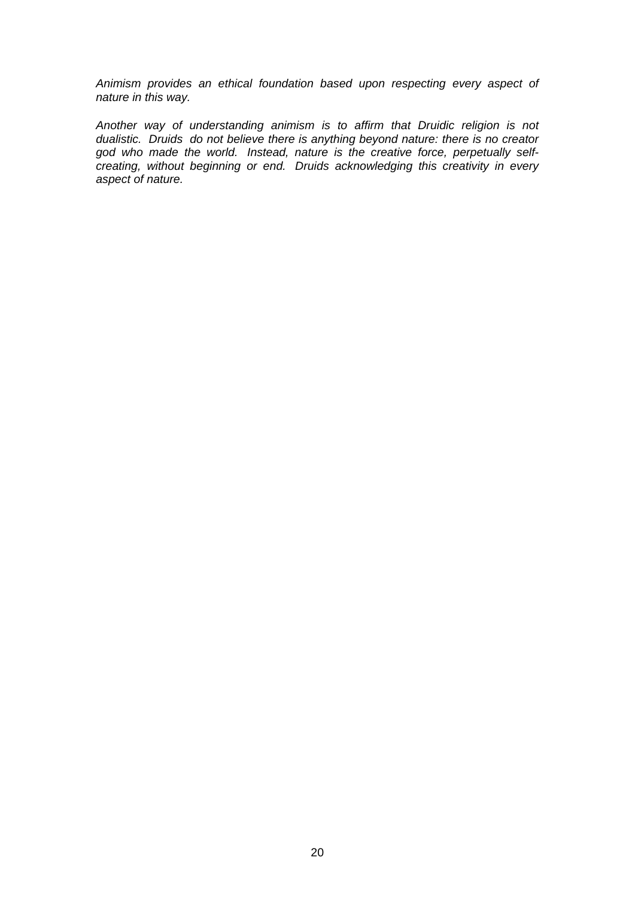*Animism provides an ethical foundation based upon respecting every aspect of nature in this way.* 

*Another way of understanding animism is to affirm that Druidic religion is not dualistic. Druids do not believe there is anything beyond nature: there is no creator god who made the world. Instead, nature is the creative force, perpetually selfcreating, without beginning or end. Druids acknowledging this creativity in every aspect of nature.*